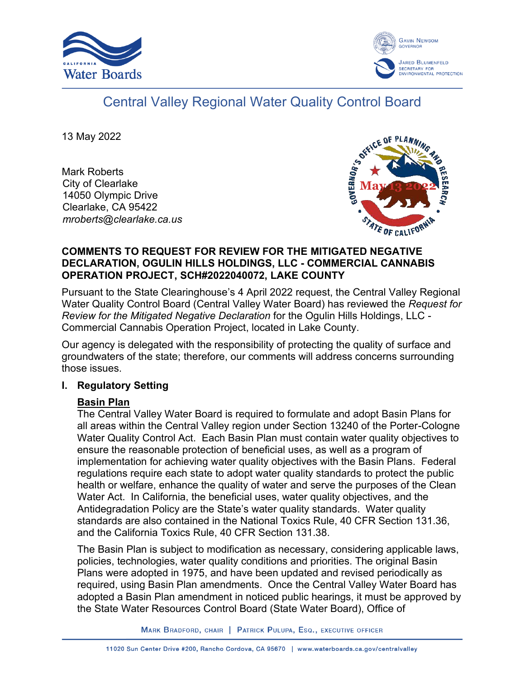



# Central Valley Regional Water Quality Control Board

13 May 2022

Mark Roberts City of Clearlake 14050 Olympic Drive Clearlake, CA 95422 *mroberts@clearlake.ca.us*



## **COMMENTS TO REQUEST FOR REVIEW FOR THE MITIGATED NEGATIVE DECLARATION, OGULIN HILLS HOLDINGS, LLC - COMMERCIAL CANNABIS OPERATION PROJECT, SCH#2022040072, LAKE COUNTY**

Pursuant to the State Clearinghouse's 4 April 2022 request, the Central Valley Regional Water Quality Control Board (Central Valley Water Board) has reviewed the *Request for Review for the Mitigated Negative Declaration* for the Ogulin Hills Holdings, LLC - Commercial Cannabis Operation Project, located in Lake County.

Our agency is delegated with the responsibility of protecting the quality of surface and groundwaters of the state; therefore, our comments will address concerns surrounding those issues.

# **I. Regulatory Setting**

# **Basin Plan**

The Central Valley Water Board is required to formulate and adopt Basin Plans for all areas within the Central Valley region under Section 13240 of the Porter-Cologne Water Quality Control Act. Each Basin Plan must contain water quality objectives to ensure the reasonable protection of beneficial uses, as well as a program of implementation for achieving water quality objectives with the Basin Plans. Federal regulations require each state to adopt water quality standards to protect the public health or welfare, enhance the quality of water and serve the purposes of the Clean Water Act. In California, the beneficial uses, water quality objectives, and the Antidegradation Policy are the State's water quality standards. Water quality standards are also contained in the National Toxics Rule, 40 CFR Section 131.36, and the California Toxics Rule, 40 CFR Section 131.38.

The Basin Plan is subject to modification as necessary, considering applicable laws, policies, technologies, water quality conditions and priorities. The original Basin Plans were adopted in 1975, and have been updated and revised periodically as required, using Basin Plan amendments. Once the Central Valley Water Board has adopted a Basin Plan amendment in noticed public hearings, it must be approved by the State Water Resources Control Board (State Water Board), Office of

MARK BRADFORD, CHAIR | PATRICK PULUPA, ESQ., EXECUTIVE OFFICER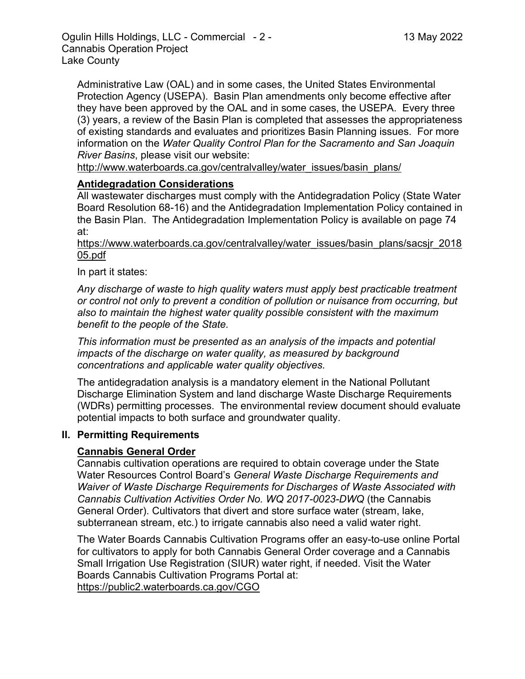Administrative Law (OAL) and in some cases, the United States Environmental Protection Agency (USEPA). Basin Plan amendments only become effective after they have been approved by the OAL and in some cases, the USEPA. Every three (3) years, a review of the Basin Plan is completed that assesses the appropriateness of existing standards and evaluates and prioritizes Basin Planning issues. For more information on the *Water Quality Control Plan for the Sacramento and San Joaquin River Basins*, please visit our website:

[http://www.waterboards.ca.gov/centralvalley/water\\_issues/basin\\_plans/](http://www.waterboards.ca.gov/centralvalley/water_issues/basin_plans/)

## **Antidegradation Considerations**

All wastewater discharges must comply with the Antidegradation Policy (State Water Board Resolution 68-16) and the Antidegradation Implementation Policy contained in the Basin Plan. The Antidegradation Implementation Policy is available on page 74 at:

https://www.waterboards.ca.gov/centralvalley/water\_issues/basin\_plans/sacsjr\_2018 05.pdf

In part it states:

*Any discharge of waste to high quality waters must apply best practicable treatment or control not only to prevent a condition of pollution or nuisance from occurring, but also to maintain the highest water quality possible consistent with the maximum benefit to the people of the State.*

*This information must be presented as an analysis of the impacts and potential impacts of the discharge on water quality, as measured by background concentrations and applicable water quality objectives.*

The antidegradation analysis is a mandatory element in the National Pollutant Discharge Elimination System and land discharge Waste Discharge Requirements (WDRs) permitting processes. The environmental review document should evaluate potential impacts to both surface and groundwater quality.

## **II. Permitting Requirements**

# **Cannabis General Order**

Cannabis cultivation operations are required to obtain coverage under the State Water Resources Control Board's *General Waste Discharge Requirements and Waiver of Waste Discharge Requirements for Discharges of Waste Associated with Cannabis Cultivation Activities Order No. WQ 2017-0023-DWQ* (the Cannabis General Order). Cultivators that divert and store surface water (stream, lake, subterranean stream, etc.) to irrigate cannabis also need a valid water right.

The Water Boards Cannabis Cultivation Programs offer an easy-to-use online Portal for cultivators to apply for both Cannabis General Order coverage and a Cannabis Small Irrigation Use Registration (SIUR) water right, if needed. Visit the Water Boards Cannabis Cultivation Programs Portal at: https://public2.waterboards.ca.gov/CGO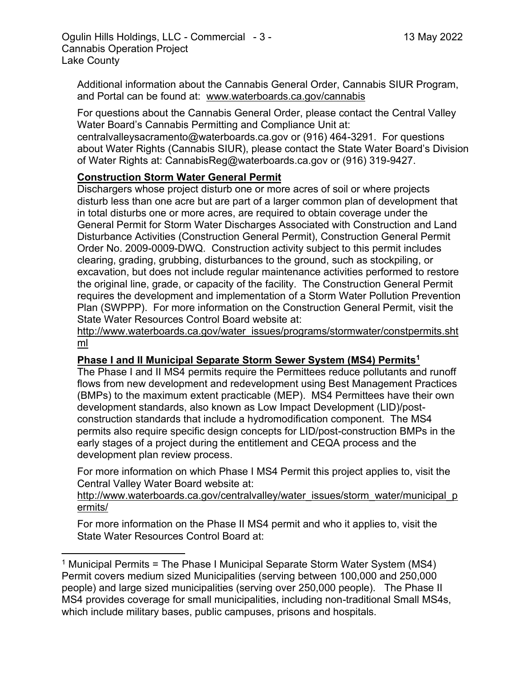Additional information about the Cannabis General Order, Cannabis SIUR Program, and Portal can be found at: www.waterboards.ca.gov/cannabis

For questions about the Cannabis General Order, please contact the Central Valley Water Board's Cannabis Permitting and Compliance Unit at:

centralvalleysacramento@waterboards.ca.gov or (916) 464-3291. For questions about Water Rights (Cannabis SIUR), please contact the State Water Board's Division of Water Rights at: CannabisReg@waterboards.ca.gov or (916) 319-9427.

# **Construction Storm Water General Permit**

Dischargers whose project disturb one or more acres of soil or where projects disturb less than one acre but are part of a larger common plan of development that in total disturbs one or more acres, are required to obtain coverage under the General Permit for Storm Water Discharges Associated with Construction and Land Disturbance Activities (Construction General Permit), Construction General Permit Order No. 2009-0009-DWQ. Construction activity subject to this permit includes clearing, grading, grubbing, disturbances to the ground, such as stockpiling, or excavation, but does not include regular maintenance activities performed to restore the original line, grade, or capacity of the facility. The Construction General Permit requires the development and implementation of a Storm Water Pollution Prevention Plan (SWPPP). For more information on the Construction General Permit, visit the State Water Resources Control Board website at:

[http://www.waterboards.ca.gov/water\\_issues/programs/stormwater/constpermits.sht](http://www.waterboards.ca.gov/water_issues/programs/stormwater/constpermits.shtml) [ml](http://www.waterboards.ca.gov/water_issues/programs/stormwater/constpermits.shtml)

# **Phase I and II Municipal Separate Storm Sewer System (MS4) Permits<sup>1</sup>**

The Phase I and II MS4 permits require the Permittees reduce pollutants and runoff flows from new development and redevelopment using Best Management Practices (BMPs) to the maximum extent practicable (MEP). MS4 Permittees have their own development standards, also known as Low Impact Development (LID)/postconstruction standards that include a hydromodification component. The MS4 permits also require specific design concepts for LID/post-construction BMPs in the early stages of a project during the entitlement and CEQA process and the development plan review process.

For more information on which Phase I MS4 Permit this project applies to, visit the Central Valley Water Board website at:

http://www.waterboards.ca.gov/centralvalley/water\_issues/storm\_water/municipal\_p ermits/

For more information on the Phase II MS4 permit and who it applies to, visit the State Water Resources Control Board at:

<sup>&</sup>lt;sup>1</sup> Municipal Permits = The Phase I Municipal Separate Storm Water System (MS4) Permit covers medium sized Municipalities (serving between 100,000 and 250,000 people) and large sized municipalities (serving over 250,000 people). The Phase II MS4 provides coverage for small municipalities, including non-traditional Small MS4s, which include military bases, public campuses, prisons and hospitals.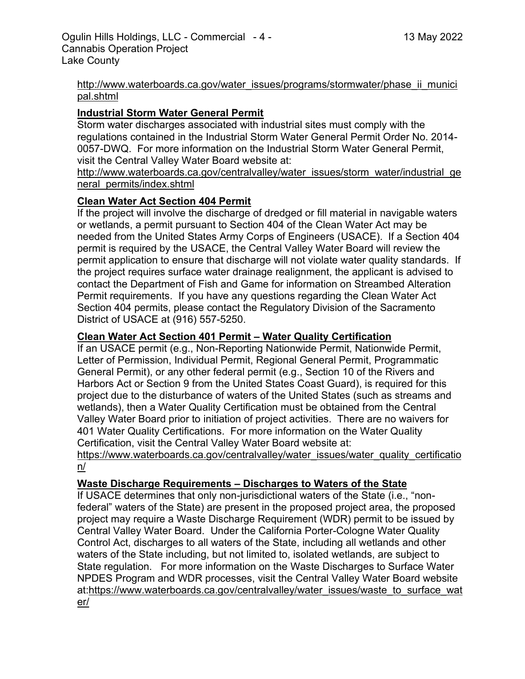#### http://www.waterboards.ca.gov/water\_issues/programs/stormwater/phase\_ii\_munici pal.shtml

## **Industrial Storm Water General Permit**

Storm water discharges associated with industrial sites must comply with the regulations contained in the Industrial Storm Water General Permit Order No. 2014- 0057-DWQ. For more information on the Industrial Storm Water General Permit, visit the Central Valley Water Board website at:

http://www.waterboards.ca.gov/centralvalley/water\_issues/storm\_water/industrial\_ge neral\_permits/index.shtml

## **Clean Water Act Section 404 Permit**

If the project will involve the discharge of dredged or fill material in navigable waters or wetlands, a permit pursuant to Section 404 of the Clean Water Act may be needed from the United States Army Corps of Engineers (USACE). If a Section 404 permit is required by the USACE, the Central Valley Water Board will review the permit application to ensure that discharge will not violate water quality standards. If the project requires surface water drainage realignment, the applicant is advised to contact the Department of Fish and Game for information on Streambed Alteration Permit requirements. If you have any questions regarding the Clean Water Act Section 404 permits, please contact the Regulatory Division of the Sacramento District of USACE at (916) 557-5250.

## **Clean Water Act Section 401 Permit – Water Quality Certification**

If an USACE permit (e.g., Non-Reporting Nationwide Permit, Nationwide Permit, Letter of Permission, Individual Permit, Regional General Permit, Programmatic General Permit), or any other federal permit (e.g., Section 10 of the Rivers and Harbors Act or Section 9 from the United States Coast Guard), is required for this project due to the disturbance of waters of the United States (such as streams and wetlands), then a Water Quality Certification must be obtained from the Central Valley Water Board prior to initiation of project activities. There are no waivers for 401 Water Quality Certifications. For more information on the Water Quality Certification, visit the Central Valley Water Board website at:

https://www.waterboards.ca.gov/centralvalley/water\_issues/water\_quality\_certificatio n/

## **Waste Discharge Requirements – Discharges to Waters of the State**

If USACE determines that only non-jurisdictional waters of the State (i.e., "nonfederal" waters of the State) are present in the proposed project area, the proposed project may require a Waste Discharge Requirement (WDR) permit to be issued by Central Valley Water Board. Under the California Porter-Cologne Water Quality Control Act, discharges to all waters of the State, including all wetlands and other waters of the State including, but not limited to, isolated wetlands, are subject to State regulation. For more information on the Waste Discharges to Surface Water NPDES Program and WDR processes, visit the Central Valley Water Board website at:https://www.waterboards.ca.gov/centralvalley/water\_issues/waste\_to\_surface\_wat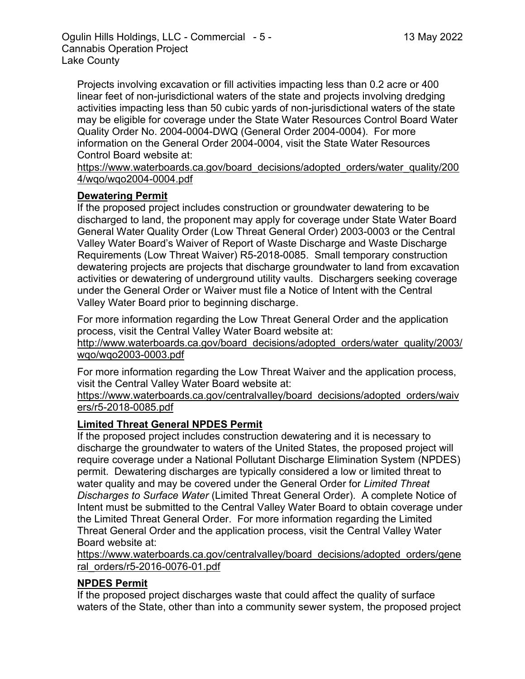Projects involving excavation or fill activities impacting less than 0.2 acre or 400 linear feet of non-jurisdictional waters of the state and projects involving dredging activities impacting less than 50 cubic yards of non-jurisdictional waters of the state may be eligible for coverage under the State Water Resources Control Board Water Quality Order No. 2004-0004-DWQ (General Order 2004-0004). For more information on the General Order 2004-0004, visit the State Water Resources Control Board website at:

https://www.waterboards.ca.gov/board\_decisions/adopted\_orders/water\_quality/200 4/wqo/wqo2004-0004.pdf

## **Dewatering Permit**

If the proposed project includes construction or groundwater dewatering to be discharged to land, the proponent may apply for coverage under State Water Board General Water Quality Order (Low Threat General Order) 2003-0003 or the Central Valley Water Board's Waiver of Report of Waste Discharge and Waste Discharge Requirements (Low Threat Waiver) R5-2018-0085. Small temporary construction dewatering projects are projects that discharge groundwater to land from excavation activities or dewatering of underground utility vaults. Dischargers seeking coverage under the General Order or Waiver must file a Notice of Intent with the Central Valley Water Board prior to beginning discharge.

For more information regarding the Low Threat General Order and the application process, visit the Central Valley Water Board website at:

http://www.waterboards.ca.gov/board\_decisions/adopted\_orders/water\_quality/2003/ wqo/wqo2003-0003.pdf

For more information regarding the Low Threat Waiver and the application process, visit the Central Valley Water Board website at:

https://www.waterboards.ca.gov/centralvalley/board\_decisions/adopted\_orders/waiv ers/r5-2018-0085.pdf

# **Limited Threat General NPDES Permit**

If the proposed project includes construction dewatering and it is necessary to discharge the groundwater to waters of the United States, the proposed project will require coverage under a National Pollutant Discharge Elimination System (NPDES) permit. Dewatering discharges are typically considered a low or limited threat to water quality and may be covered under the General Order for *Limited Threat Discharges to Surface Water* (Limited Threat General Order). A complete Notice of Intent must be submitted to the Central Valley Water Board to obtain coverage under the Limited Threat General Order. For more information regarding the Limited Threat General Order and the application process, visit the Central Valley Water Board website at:

https://www.waterboards.ca.gov/centralvalley/board\_decisions/adopted\_orders/gene ral\_orders/r5-2016-0076-01.pdf

# **NPDES Permit**

If the proposed project discharges waste that could affect the quality of surface waters of the State, other than into a community sewer system, the proposed project